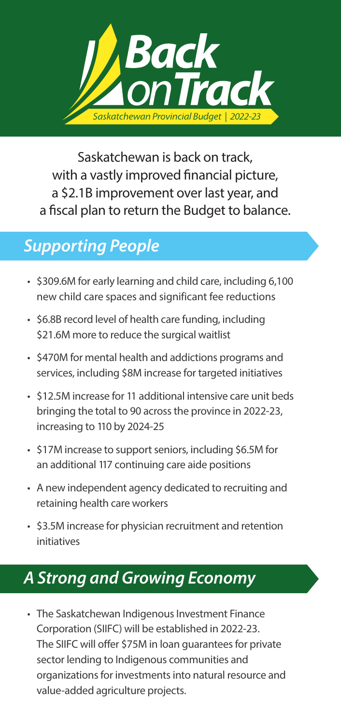

Saskatchewan is back on track, with a vastly improved financial picture, a \$2.1B improvement over last year, and a fiscal plan to return the Budget to balance.

## *Supporting People*

- \$309.6M for early learning and child care, including 6,100 new child care spaces and significant fee reductions
- \$6.8B record level of health care funding, including \$21.6M more to reduce the surgical waitlist
- \$470M for mental health and addictions programs and services, including \$8M increase for targeted initiatives
- \$12.5M increase for 11 additional intensive care unit beds bringing the total to 90 across the province in 2022-23, increasing to 110 by 2024-25
- \$17M increase to support seniors, including \$6.5M for an additional 117 continuing care aide positions
- A new independent agency dedicated to recruiting and retaining health care workers
- \$3.5M increase for physician recruitment and retention initiatives

## *A Strong and Growing Economy*

• The Saskatchewan Indigenous Investment Finance Corporation (SIIFC) will be established in 2022-23. The SIIFC will offer \$75M in loan guarantees for private sector lending to Indigenous communities and organizations for investments into natural resource and value-added agriculture projects.